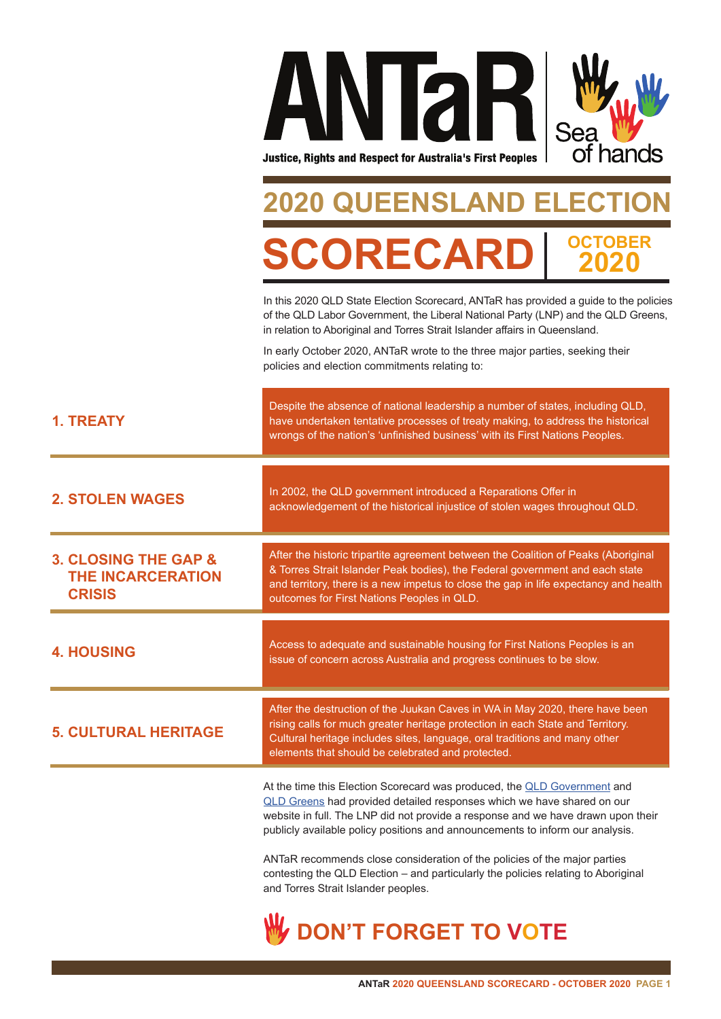

### **2020 QUEENSLAND ELECTION RECA OCTOBER 2020**

In this 2020 QLD State Election Scorecard, ANTaR has provided a guide to the policies of the QLD Labor Government, the Liberal National Party (LNP) and the QLD Greens, in relation to Aboriginal and Torres Strait Islander affairs in Queensland.

In early October 2020, ANTaR wrote to the three major parties, seeking their policies and election commitments relating to:

| <b>1. TREATY</b>                                                             | Despite the absence of national leadership a number of states, including QLD,<br>have undertaken tentative processes of treaty making, to address the historical<br>wrongs of the nation's 'unfinished business' with its First Nations Peoples.                                                                        |
|------------------------------------------------------------------------------|-------------------------------------------------------------------------------------------------------------------------------------------------------------------------------------------------------------------------------------------------------------------------------------------------------------------------|
| <b>2. STOLEN WAGES</b>                                                       | In 2002, the QLD government introduced a Reparations Offer in<br>acknowledgement of the historical injustice of stolen wages throughout QLD.                                                                                                                                                                            |
| <b>3. CLOSING THE GAP &amp;</b><br><b>THE INCARCERATION</b><br><b>CRISIS</b> | After the historic tripartite agreement between the Coalition of Peaks (Aboriginal<br>& Torres Strait Islander Peak bodies), the Federal government and each state<br>and territory, there is a new impetus to close the gap in life expectancy and health<br>outcomes for First Nations Peoples in QLD.                |
| <b>4. HOUSING</b>                                                            | Access to adequate and sustainable housing for First Nations Peoples is an<br>issue of concern across Australia and progress continues to be slow.                                                                                                                                                                      |
| <b>5. CULTURAL HERITAGE</b>                                                  | After the destruction of the Juukan Caves in WA in May 2020, there have been<br>rising calls for much greater heritage protection in each State and Territory.<br>Cultural heritage includes sites, language, oral traditions and many other<br>elements that should be celebrated and protected.                       |
|                                                                              | At the time this Election Scorecard was produced, the QLD Government and<br>QLD Greens had provided detailed responses which we have shared on our<br>website in full. The LNP did not provide a response and we have drawn upon their<br>publicly available policy positions and announcements to inform our analysis. |
|                                                                              | ANTaR recommends close consideration of the policies of the major parties<br>contesting the QLD Election - and particularly the policies relating to Aboriginal<br>and Torres Strait Islander peoples.                                                                                                                  |

**DON'T FORGET TO VOTE**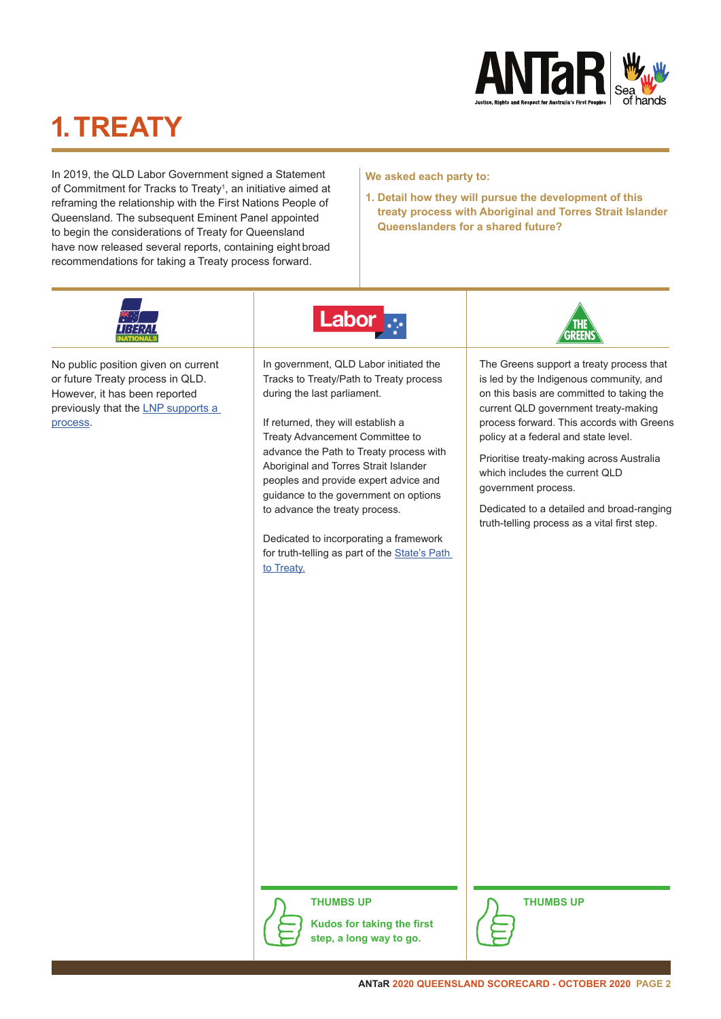

# **1. TREATY**

In 2019, the QLD Labor Government signed a Statement of Commitment for Tracks to Treaty<sup>1</sup>, an initiative aimed at reframing the relationship with the First Nations People of Queensland. The subsequent Eminent Panel appointed to begin the considerations of Treaty for Queensland have now released several reports, containing eight broad recommendations for taking a Treaty process forward.

#### **We asked each party to:**

**1. Detail how they will pursue the development of this treaty process with Aboriginal and Torres Strait Islander Queenslanders for a shared future?**



No public position given on current or future Treaty process in QLD. However, it has been reported previously that the [LNP supports a](https://www.brisbanetimes.com.au/politics/queensland/queensland-s-path-to-indigenous-treaty-begins-20191017-p531ke.html)  [process](https://www.brisbanetimes.com.au/politics/queensland/queensland-s-path-to-indigenous-treaty-begins-20191017-p531ke.html).



In government, QLD Labor initiated the Tracks to Treaty/Path to Treaty process during the last parliament.

If returned, they will establish a Treaty Advancement Committee to advance the Path to Treaty process with Aboriginal and Torres Strait Islander peoples and provide expert advice and guidance to the government on options to advance the treaty process.

Dedicated to incorporating a framework for truth-telling as part of the [State's Path](https://statements.qld.gov.au/statements/89300)  [to Treaty.](https://statements.qld.gov.au/statements/89300)



The Greens support a treaty process that is led by the Indigenous community, and on this basis are committed to taking the current QLD government treaty-making process forward. This accords with Greens policy at a federal and state level.

Prioritise treaty-making across Australia which includes the current QLD government process.

Dedicated to a detailed and broad-ranging truth-telling process as a vital first step.



**Kudos for taking the first step, a long way to go.**



**THUMBS UP THUMBS UP**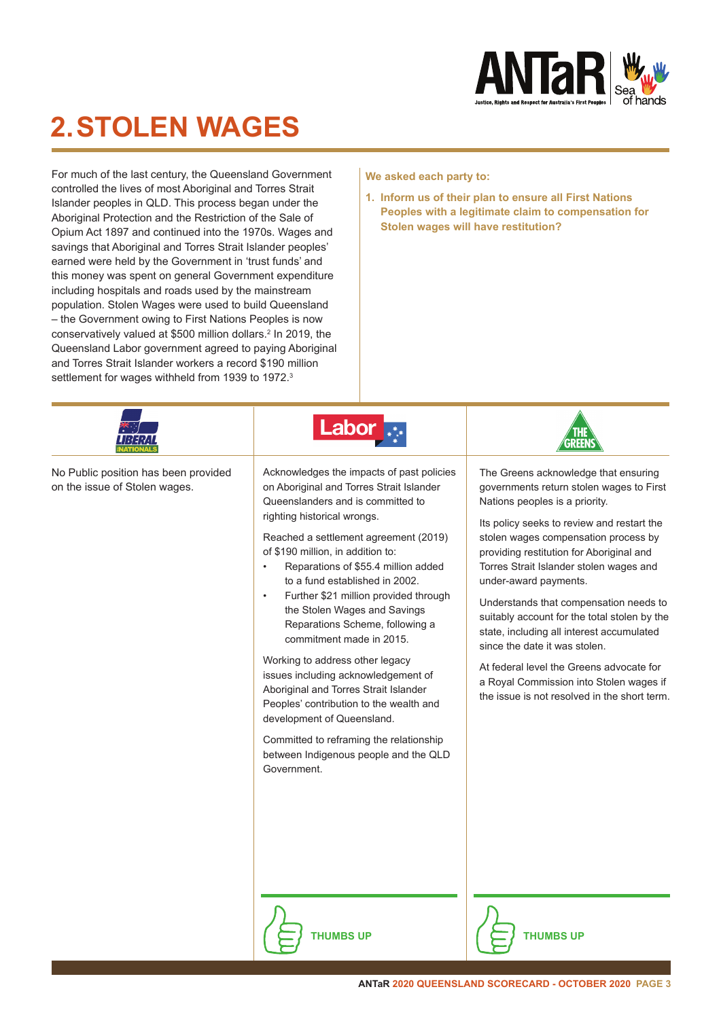

### **2. STOLEN WAGES**

For much of the last century, the Queensland Government controlled the lives of most Aboriginal and Torres Strait Islander peoples in QLD. This process began under the Aboriginal Protection and the Restriction of the Sale of Opium Act 1897 and continued into the 1970s. Wages and savings that Aboriginal and Torres Strait Islander peoples' earned were held by the Government in 'trust funds' and this money was spent on general Government expenditure including hospitals and roads used by the mainstream population. Stolen Wages were used to build Queensland – the Government owing to First Nations Peoples is now conservatively valued at \$500 million dollars.<sup>2</sup> In 2019, the Queensland Labor government agreed to paying Aboriginal and Torres Strait Islander workers a record \$190 million settlement for wages withheld from 1939 to 1972.<sup>3</sup>

#### **We asked each party to:**

**1. Inform us of their plan to ensure all First Nations Peoples with a legitimate claim to compensation for Stolen wages will have restitution?**

|                                                                       | Labol                                                                                                                                                                                                                                                                                                                                                                                                                                                                                                                                                                                                                                                                                                                                                                |                                                                                                                                                                                                                                                                                                                                                                                                                                                                                                                                                                                                                                         |
|-----------------------------------------------------------------------|----------------------------------------------------------------------------------------------------------------------------------------------------------------------------------------------------------------------------------------------------------------------------------------------------------------------------------------------------------------------------------------------------------------------------------------------------------------------------------------------------------------------------------------------------------------------------------------------------------------------------------------------------------------------------------------------------------------------------------------------------------------------|-----------------------------------------------------------------------------------------------------------------------------------------------------------------------------------------------------------------------------------------------------------------------------------------------------------------------------------------------------------------------------------------------------------------------------------------------------------------------------------------------------------------------------------------------------------------------------------------------------------------------------------------|
| No Public position has been provided<br>on the issue of Stolen wages. | Acknowledges the impacts of past policies<br>on Aboriginal and Torres Strait Islander<br>Queenslanders and is committed to<br>righting historical wrongs.<br>Reached a settlement agreement (2019)<br>of \$190 million, in addition to:<br>Reparations of \$55.4 million added<br>to a fund established in 2002.<br>Further \$21 million provided through<br>$\bullet$<br>the Stolen Wages and Savings<br>Reparations Scheme, following a<br>commitment made in 2015.<br>Working to address other legacy<br>issues including acknowledgement of<br>Aboriginal and Torres Strait Islander<br>Peoples' contribution to the wealth and<br>development of Queensland.<br>Committed to reframing the relationship<br>between Indigenous people and the QLD<br>Government. | The Greens acknowledge that ensuring<br>governments return stolen wages to First<br>Nations peoples is a priority.<br>Its policy seeks to review and restart the<br>stolen wages compensation process by<br>providing restitution for Aboriginal and<br>Torres Strait Islander stolen wages and<br>under-award payments.<br>Understands that compensation needs to<br>suitably account for the total stolen by the<br>state, including all interest accumulated<br>since the date it was stolen.<br>At federal level the Greens advocate for<br>a Royal Commission into Stolen wages if<br>the issue is not resolved in the short term. |



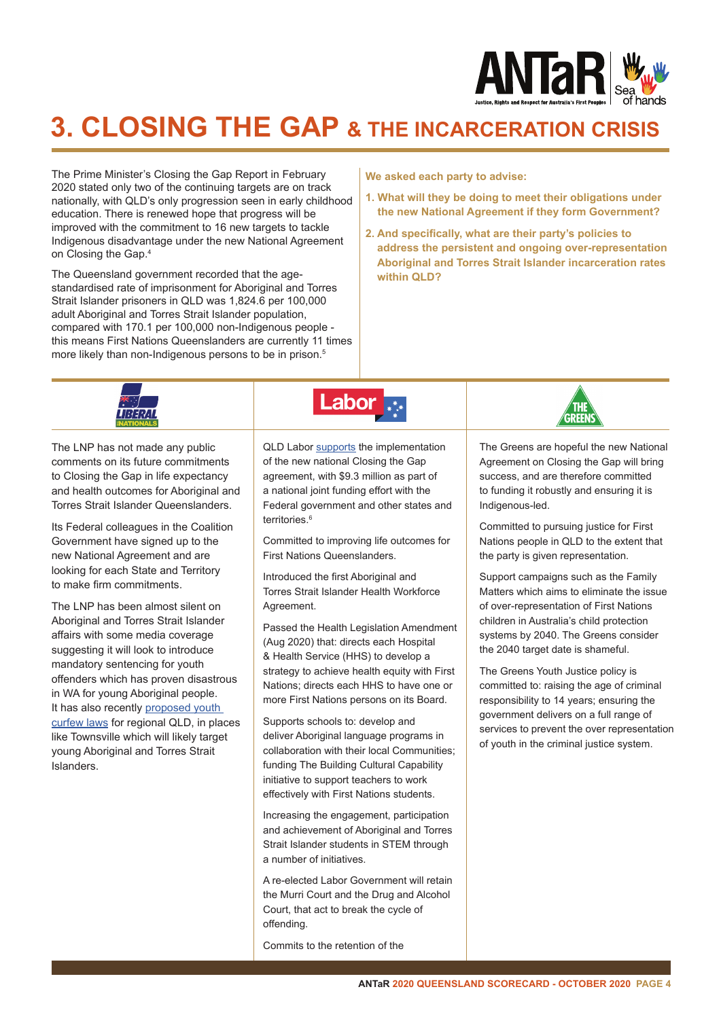

### **3. CLOSING THE GAP & THE INCARCERATION CRISIS**

The Prime Minister's Closing the Gap Report in February 2020 stated only two of the continuing targets are on track nationally, with QLD's only progression seen in early childhood education. There is renewed hope that progress will be improved with the commitment to 16 new targets to tackle Indigenous disadvantage under the new National Agreement on Closing the Gap.4

The Queensland government recorded that the agestandardised rate of imprisonment for Aboriginal and Torres Strait Islander prisoners in QLD was 1,824.6 per 100,000 adult Aboriginal and Torres Strait Islander population, compared with 170.1 per 100,000 non-Indigenous people this means First Nations Queenslanders are currently 11 times more likely than non-Indigenous persons to be in prison.<sup>5</sup>

#### **We asked each party to advise:**

- **1. What will they be doing to meet their obligations under the new National Agreement if they form Government?**
- **2. And specifically, what are their party's policies to address the persistent and ongoing over-representation Aboriginal and Torres Strait Islander incarceration rates within QLD?**



The LNP has not made any public comments on its future commitments to Closing the Gap in life expectancy and health outcomes for Aboriginal and Torres Strait Islander Queenslanders.

Its Federal colleagues in the Coalition Government have signed up to the new National Agreement and are looking for each State and Territory to make firm commitments.

The LNP has been almost silent on Aboriginal and Torres Strait Islander affairs with some media coverage suggesting it will look to introduce mandatory sentencing for youth offenders which has proven disastrous in WA for young Aboriginal people. It has also recently [proposed youth](https://statements.qld.gov.au/statements/89300)  [curfew laws](https://statements.qld.gov.au/statements/89300) for regional QLD, in places like Townsville which will likely target young Aboriginal and Torres Strait Islanders.

QLD Labor [supports](https://statements.qld.gov.au/statements/90330) the implementation of the new national Closing the Gap agreement, with \$9.3 million as part of a national joint funding effort with the Federal government and other states and territories.<sup>6</sup>

Committed to improving life outcomes for First Nations Queenslanders.

Introduced the first Aboriginal and Torres Strait Islander Health Workforce Agreement.

Passed the Health Legislation Amendment (Aug 2020) that: directs each Hospital & Health Service (HHS) to develop a strategy to achieve health equity with First Nations; directs each HHS to have one or more First Nations persons on its Board.

Supports schools to: develop and deliver Aboriginal language programs in collaboration with their local Communities; funding The Building Cultural Capability initiative to support teachers to work effectively with First Nations students.

Increasing the engagement, participation and achievement of Aboriginal and Torres Strait Islander students in STEM through a number of initiatives.

A re-elected Labor Government will retain the Murri Court and the Drug and Alcohol Court, that act to break the cycle of offending.

Commits to the retention of the

The Greens are hopeful the new National Agreement on Closing the Gap will bring success, and are therefore committed to funding it robustly and ensuring it is Indigenous-led.

Committed to pursuing justice for First Nations people in QLD to the extent that the party is given representation.

Support campaigns such as the Family Matters which aims to eliminate the issue of over-representation of First Nations children in Australia's child protection systems by 2040. The Greens consider the 2040 target date is shameful.

The Greens Youth Justice policy is committed to: raising the age of criminal responsibility to 14 years; ensuring the government delivers on a full range of services to prevent the over representation of youth in the criminal justice system.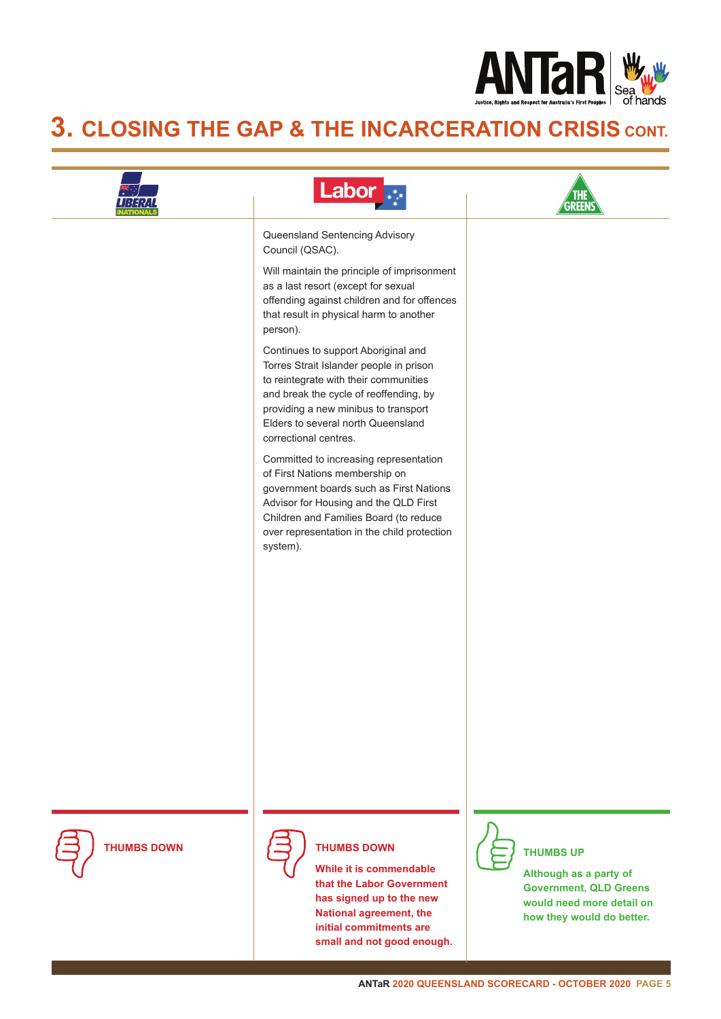

### **3. CLOSING THE GAP & THE INCARCERATION CRISIS CONT.**

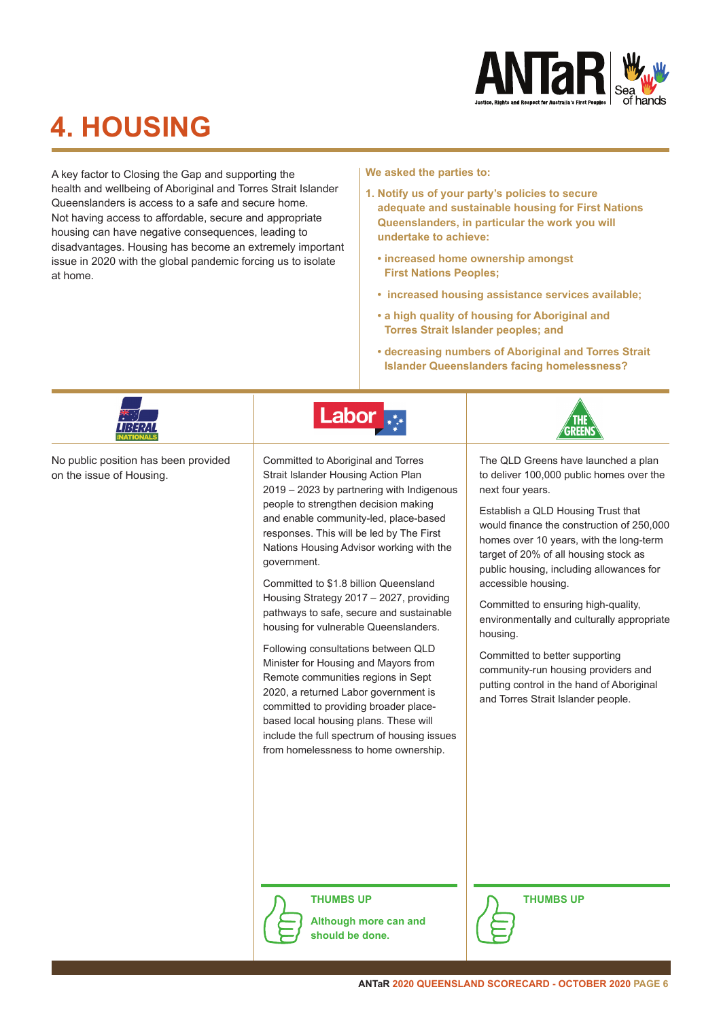

# **4. HOUSING**

A key factor to Closing the Gap and supporting the health and wellbeing of Aboriginal and Torres Strait Islander Queenslanders is access to a safe and secure home. Not having access to affordable, secure and appropriate housing can have negative consequences, leading to disadvantages. Housing has become an extremely important issue in 2020 with the global pandemic forcing us to isolate at home.

**We asked the parties to:**

- **1. Notify us of your party's policies to secure adequate and sustainable housing for First Nations Queenslanders, in particular the work you will undertake to achieve:**
	- **increased home ownership amongst First Nations Peoples;**
	- **increased housing assistance services available;**
	- **a high quality of housing for Aboriginal and Torres Strait Islander peoples; and**
	- **decreasing numbers of Aboriginal and Torres Strait Islander Queenslanders facing homelessness?**

|                                                                  | Labor                                                                                                                                                                                                                                                                                                                                                                                                                                                                                                                                                                                                                                                                                                                                                                                                                         |                                                                                                                                                                                                                                                                                                                                                                                                                                                                                                                                                                                                            |
|------------------------------------------------------------------|-------------------------------------------------------------------------------------------------------------------------------------------------------------------------------------------------------------------------------------------------------------------------------------------------------------------------------------------------------------------------------------------------------------------------------------------------------------------------------------------------------------------------------------------------------------------------------------------------------------------------------------------------------------------------------------------------------------------------------------------------------------------------------------------------------------------------------|------------------------------------------------------------------------------------------------------------------------------------------------------------------------------------------------------------------------------------------------------------------------------------------------------------------------------------------------------------------------------------------------------------------------------------------------------------------------------------------------------------------------------------------------------------------------------------------------------------|
| No public position has been provided<br>on the issue of Housing. | Committed to Aboriginal and Torres<br>Strait Islander Housing Action Plan<br>2019 - 2023 by partnering with Indigenous<br>people to strengthen decision making<br>and enable community-led, place-based<br>responses. This will be led by The First<br>Nations Housing Advisor working with the<br>government.<br>Committed to \$1.8 billion Queensland<br>Housing Strategy 2017 - 2027, providing<br>pathways to safe, secure and sustainable<br>housing for vulnerable Queenslanders.<br>Following consultations between QLD<br>Minister for Housing and Mayors from<br>Remote communities regions in Sept<br>2020, a returned Labor government is<br>committed to providing broader place-<br>based local housing plans. These will<br>include the full spectrum of housing issues<br>from homelessness to home ownership. | The QLD Greens have launched a plan<br>to deliver 100,000 public homes over the<br>next four years.<br>Establish a QLD Housing Trust that<br>would finance the construction of 250,000<br>homes over 10 years, with the long-term<br>target of 20% of all housing stock as<br>public housing, including allowances for<br>accessible housing.<br>Committed to ensuring high-quality,<br>environmentally and culturally appropriate<br>housing.<br>Committed to better supporting<br>community-run housing providers and<br>putting control in the hand of Aboriginal<br>and Torres Strait Islander people. |
|                                                                  | <b>THUMBS UP</b><br>Although more can and                                                                                                                                                                                                                                                                                                                                                                                                                                                                                                                                                                                                                                                                                                                                                                                     | <b>THUMBS UP</b>                                                                                                                                                                                                                                                                                                                                                                                                                                                                                                                                                                                           |

**should be done.** 

 $\overline{\phantom{0}}$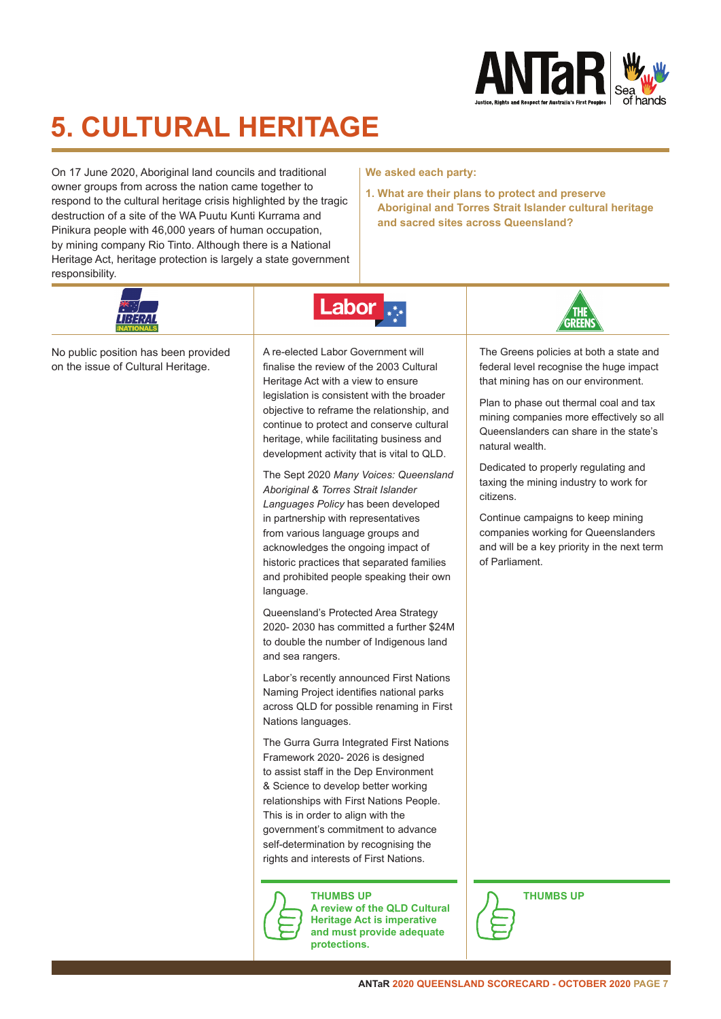

# **5. CULTURAL HERITAGE**

On 17 June 2020, Aboriginal land councils and traditional owner groups from across the nation came together to respond to the cultural heritage crisis highlighted by the tragic destruction of a site of the WA Puutu Kunti Kurrama and Pinikura people with 46,000 years of human occupation, by mining company Rio Tinto. Although there is a National Heritage Act, heritage protection is largely a state government responsibility.



No public position has been provided on the issue of Cultural Heritage.



**We asked each party:**

**1. What are their plans to protect and preserve** 

**and sacred sites across Queensland?**

**Aboriginal and Torres Strait Islander cultural heritage** 

A re-elected Labor Government will finalise the review of the 2003 Cultural Heritage Act with a view to ensure legislation is consistent with the broader objective to reframe the relationship, and continue to protect and conserve cultural heritage, while facilitating business and development activity that is vital to QLD.

The Sept 2020 *Many Voices: Queensland Aboriginal & Torres Strait Islander Languages Policy* has been developed in partnership with representatives from various language groups and acknowledges the ongoing impact of historic practices that separated families and prohibited people speaking their own language.

Queensland's Protected Area Strategy 2020- 2030 has committed a further \$24M to double the number of Indigenous land and sea rangers.

Labor's recently announced First Nations Naming Project identifies national parks across QLD for possible renaming in First Nations languages.

The Gurra Gurra Integrated First Nations Framework 2020- 2026 is designed to assist staff in the Dep Environment & Science to develop better working relationships with First Nations People. This is in order to align with the government's commitment to advance self-determination by recognising the rights and interests of First Nations.



**THUMBS UP THUMBS UP A review of the QLD Cultural Heritage Act is imperative and must provide adequate protections.** 



The Greens policies at both a state and federal level recognise the huge impact that mining has on our environment.

Plan to phase out thermal coal and tax mining companies more effectively so all Queenslanders can share in the state's natural wealth.

Dedicated to properly regulating and taxing the mining industry to work for citizens.

Continue campaigns to keep mining companies working for Queenslanders and will be a key priority in the next term of Parliament.